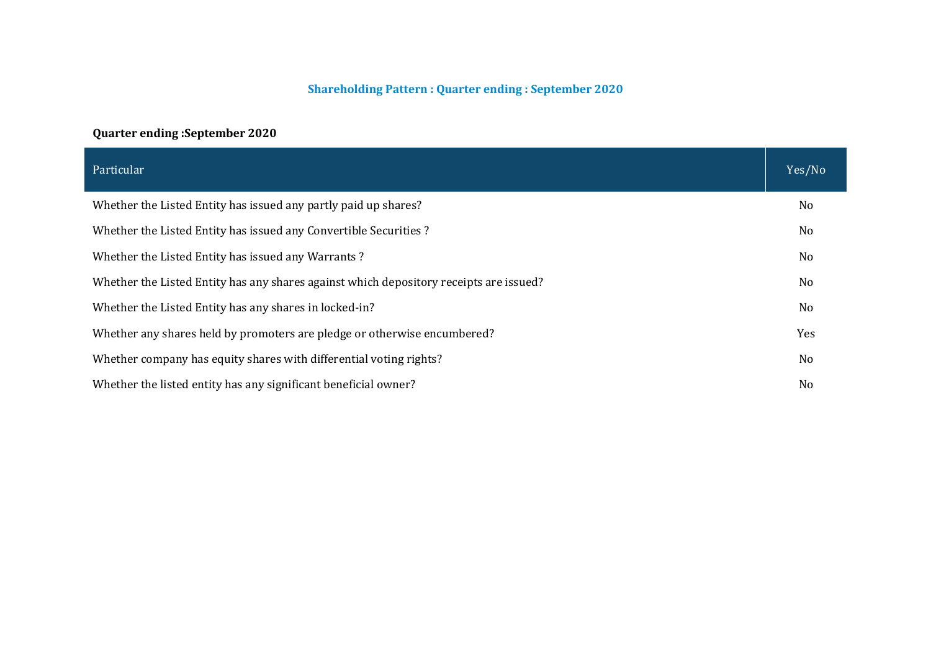#### **Shareholding Pattern : Quarter ending : September 2020**

# **Quarter ending :September 2020**

| Particular                                                                             | Yes/No         |
|----------------------------------------------------------------------------------------|----------------|
| Whether the Listed Entity has issued any partly paid up shares?                        | No             |
| Whether the Listed Entity has issued any Convertible Securities?                       | N <sub>0</sub> |
| Whether the Listed Entity has issued any Warrants?                                     | No             |
| Whether the Listed Entity has any shares against which depository receipts are issued? | N <sub>0</sub> |
| Whether the Listed Entity has any shares in locked-in?                                 | No             |
| Whether any shares held by promoters are pledge or otherwise encumbered?               | Yes            |
| Whether company has equity shares with differential voting rights?                     | N <sub>0</sub> |
| Whether the listed entity has any significant beneficial owner?                        | No             |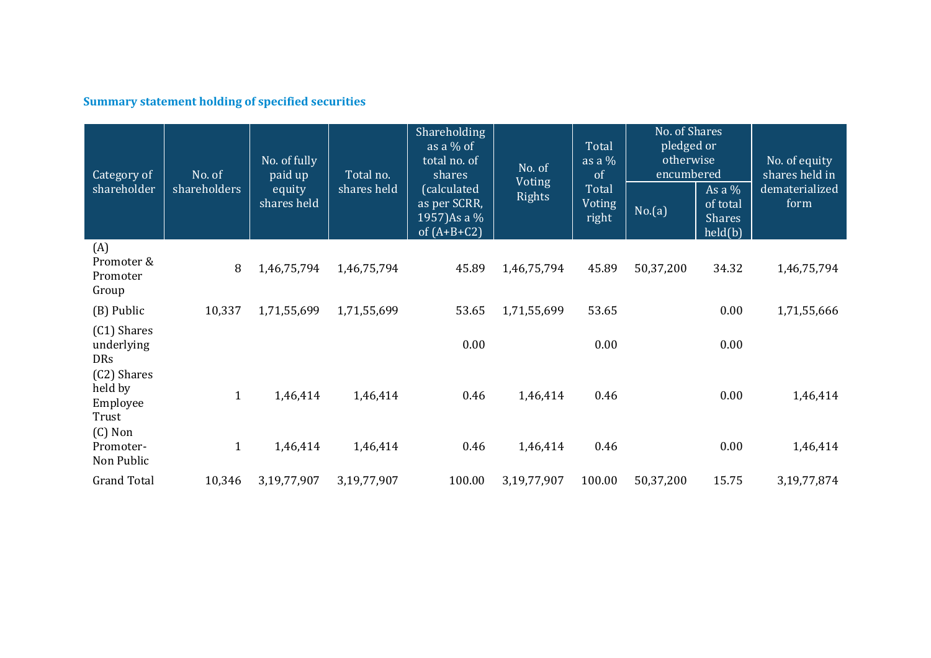# **Summary statement holding of specified securities**

| Category of<br>shareholder                               | No. of<br>shareholders | No. of fully<br>paid up<br>equity<br>shares held | Total no.<br>shares held | Shareholding<br>as a $%$ of<br>total no. of<br>shares<br>(calculated<br>as per SCRR,<br>1957)As a %<br>of $(A+B+C2)$ | No. of<br><b>Voting</b><br><b>Rights</b> | Total<br>as a $%$<br>of<br>Total<br>Voting<br>right | No. of Shares<br>pledged or<br>otherwise<br>encumbered<br>No.(a) | As a $%$<br>of total<br><b>Shares</b><br>held(b) | No. of equity<br>shares held in<br>dematerialized<br>form |
|----------------------------------------------------------|------------------------|--------------------------------------------------|--------------------------|----------------------------------------------------------------------------------------------------------------------|------------------------------------------|-----------------------------------------------------|------------------------------------------------------------------|--------------------------------------------------|-----------------------------------------------------------|
| (A)<br>Promoter &<br>Promoter<br>Group                   | 8                      | 1,46,75,794                                      | 1,46,75,794              | 45.89                                                                                                                | 1,46,75,794                              | 45.89                                               | 50,37,200                                                        | 34.32                                            | 1,46,75,794                                               |
| (B) Public                                               | 10,337                 | 1,71,55,699                                      | 1,71,55,699              | 53.65                                                                                                                | 1,71,55,699                              | 53.65                                               |                                                                  | 0.00                                             | 1,71,55,666                                               |
| (C1) Shares<br>underlying<br><b>DRs</b>                  |                        |                                                  |                          | 0.00                                                                                                                 |                                          | 0.00                                                |                                                                  | 0.00                                             |                                                           |
| (C2) Shares<br>held by<br>Employee<br>Trust<br>$(C)$ Non | $\mathbf{1}$           | 1,46,414                                         | 1,46,414                 | 0.46                                                                                                                 | 1,46,414                                 | 0.46                                                |                                                                  | 0.00                                             | 1,46,414                                                  |
| Promoter-<br>Non Public                                  | $\mathbf{1}$           | 1,46,414                                         | 1,46,414                 | 0.46                                                                                                                 | 1,46,414                                 | 0.46                                                |                                                                  | 0.00                                             | 1,46,414                                                  |
| <b>Grand Total</b>                                       | 10,346                 | 3,19,77,907                                      | 3,19,77,907              | 100.00                                                                                                               | 3,19,77,907                              | 100.00                                              | 50,37,200                                                        | 15.75                                            | 3, 19, 77, 874                                            |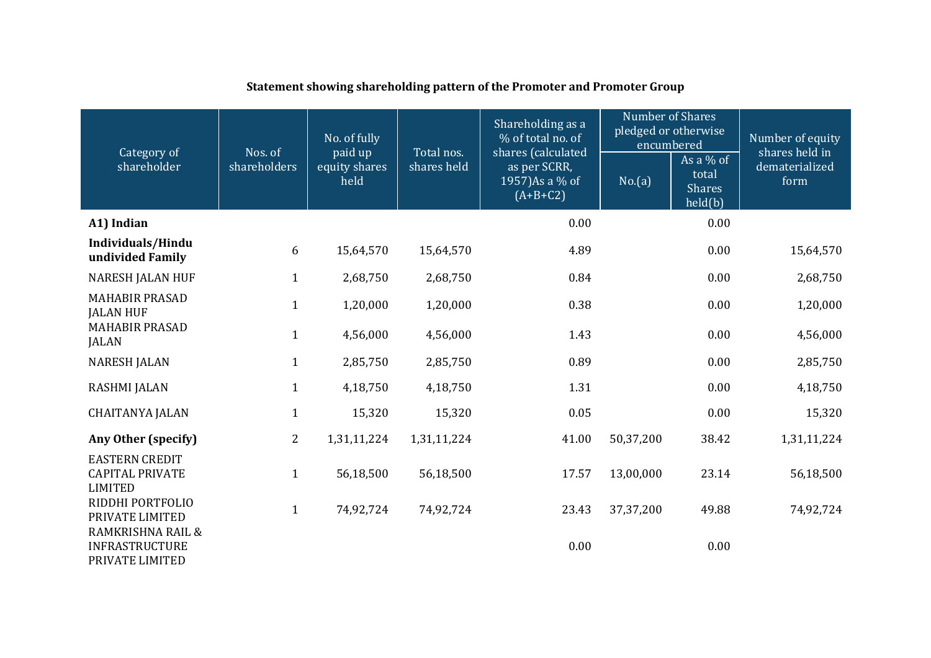| Category of                                                       | Nos. of      | No. of fully<br>paid up | Total nos.  | Shareholding as a<br>% of total no. of<br>shares (calculated | <b>Number of Shares</b><br>pledged or otherwise<br>encumbered<br>As a $%$ of |                                   | Number of equity<br>shares held in |
|-------------------------------------------------------------------|--------------|-------------------------|-------------|--------------------------------------------------------------|------------------------------------------------------------------------------|-----------------------------------|------------------------------------|
| shareholder                                                       | shareholders | equity shares<br>held   | shares held | as per SCRR,<br>1957) As a % of<br>$(A+B+C2)$                | No.(a)                                                                       | total<br><b>Shares</b><br>held(b) | dematerialized<br>form             |
| A1) Indian                                                        |              |                         |             | 0.00                                                         |                                                                              | 0.00                              |                                    |
| Individuals/Hindu<br>undivided Family                             | 6            | 15,64,570               | 15,64,570   | 4.89                                                         |                                                                              | 0.00                              | 15,64,570                          |
| <b>NARESH JALAN HUF</b>                                           | $\mathbf{1}$ | 2,68,750                | 2,68,750    | 0.84                                                         |                                                                              | 0.00                              | 2,68,750                           |
| <b>MAHABIR PRASAD</b><br><b>JALAN HUF</b>                         | $\mathbf{1}$ | 1,20,000                | 1,20,000    | 0.38                                                         |                                                                              | 0.00                              | 1,20,000                           |
| <b>MAHABIR PRASAD</b><br><b>JALAN</b>                             | $\mathbf{1}$ | 4,56,000                | 4,56,000    | 1.43                                                         |                                                                              | 0.00                              | 4,56,000                           |
| <b>NARESH JALAN</b>                                               | $\mathbf{1}$ | 2,85,750                | 2,85,750    | 0.89                                                         |                                                                              | 0.00                              | 2,85,750                           |
| <b>RASHMI JALAN</b>                                               | $\mathbf{1}$ | 4,18,750                | 4,18,750    | 1.31                                                         |                                                                              | 0.00                              | 4,18,750                           |
| <b>CHAITANYA JALAN</b>                                            | $\mathbf{1}$ | 15,320                  | 15,320      | 0.05                                                         |                                                                              | 0.00                              | 15,320                             |
| Any Other (specify)                                               | 2            | 1,31,11,224             | 1,31,11,224 | 41.00                                                        | 50,37,200                                                                    | 38.42                             | 1,31,11,224                        |
| <b>EASTERN CREDIT</b><br><b>CAPITAL PRIVATE</b><br><b>LIMITED</b> | $\mathbf{1}$ | 56,18,500               | 56,18,500   | 17.57                                                        | 13,00,000                                                                    | 23.14                             | 56,18,500                          |
| RIDDHI PORTFOLIO<br>PRIVATE LIMITED                               | $\mathbf{1}$ | 74,92,724               | 74,92,724   | 23.43                                                        | 37, 37, 200                                                                  | 49.88                             | 74,92,724                          |
| RAMKRISHNA RAIL &<br><b>INFRASTRUCTURE</b><br>PRIVATE LIMITED     |              |                         |             | 0.00                                                         |                                                                              | 0.00                              |                                    |

# **Statement showing shareholding pattern of the Promoter and Promoter Group**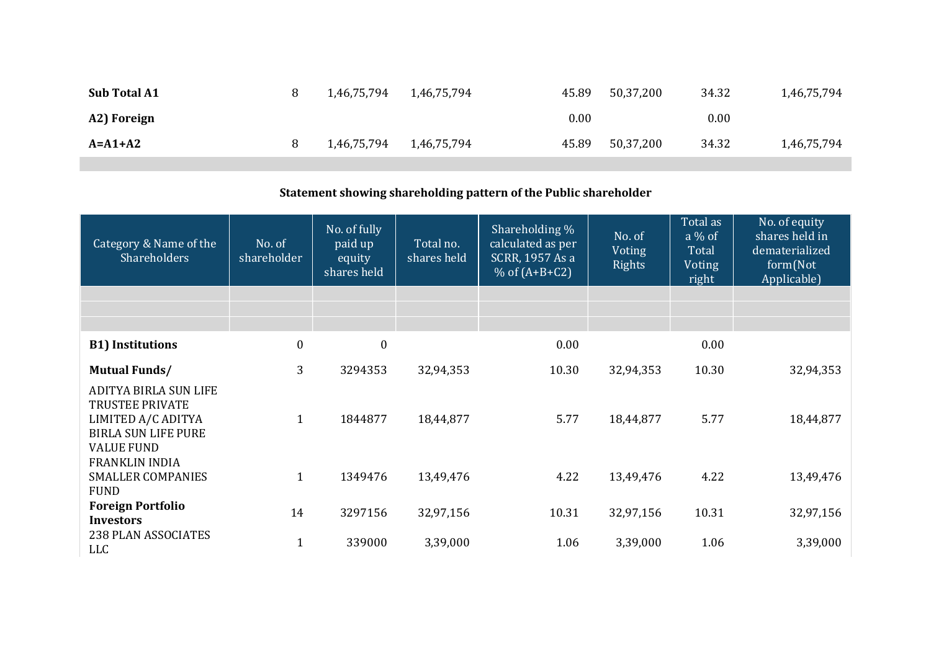| <b>Sub Total A1</b> | 1,46,75,794 | 1,46,75,794 | 45.89 | 50,37,200 | 34.32 | 1,46,75,794 |
|---------------------|-------------|-------------|-------|-----------|-------|-------------|
| A2) Foreign         |             |             | 0.00  |           | 0.00  |             |
| $A = A1 + A2$       | 1,46,75,794 | 1,46,75,794 | 45.89 | 50,37,200 | 34.32 | 1,46,75,794 |

# **Statement showing shareholding pattern of the Public shareholder**

| Category & Name of the<br>Shareholders                                                                                   | No. of<br>shareholder | No. of fully<br>paid up<br>equity<br>shares held | Total no.<br>shares held | Shareholding %<br>calculated as per<br>SCRR, 1957 As a<br>% of $(A+B+C2)$ | No. of<br>Voting<br>Rights | Total as<br>$a\%$ of<br><b>Total</b><br>Voting<br>right | No. of equity<br>shares held in<br>dematerialized<br>form(Not<br>Applicable) |
|--------------------------------------------------------------------------------------------------------------------------|-----------------------|--------------------------------------------------|--------------------------|---------------------------------------------------------------------------|----------------------------|---------------------------------------------------------|------------------------------------------------------------------------------|
|                                                                                                                          |                       |                                                  |                          |                                                                           |                            |                                                         |                                                                              |
|                                                                                                                          |                       |                                                  |                          |                                                                           |                            |                                                         |                                                                              |
| <b>B1)</b> Institutions                                                                                                  | $\boldsymbol{0}$      | $\boldsymbol{0}$                                 |                          | 0.00                                                                      |                            | 0.00                                                    |                                                                              |
| <b>Mutual Funds/</b>                                                                                                     | 3                     | 3294353                                          | 32,94,353                | 10.30                                                                     | 32,94,353                  | 10.30                                                   | 32,94,353                                                                    |
| ADITYA BIRLA SUN LIFE<br><b>TRUSTEE PRIVATE</b><br>LIMITED A/C ADITYA<br><b>BIRLA SUN LIFE PURE</b><br><b>VALUE FUND</b> | $\mathbf{1}$          | 1844877                                          | 18,44,877                | 5.77                                                                      | 18,44,877                  | 5.77                                                    | 18,44,877                                                                    |
| <b>FRANKLIN INDIA</b><br><b>SMALLER COMPANIES</b><br><b>FUND</b>                                                         | $\mathbf{1}$          | 1349476                                          | 13,49,476                | 4.22                                                                      | 13,49,476                  | 4.22                                                    | 13,49,476                                                                    |
| <b>Foreign Portfolio</b><br><b>Investors</b>                                                                             | 14                    | 3297156                                          | 32,97,156                | 10.31                                                                     | 32,97,156                  | 10.31                                                   | 32,97,156                                                                    |
| 238 PLAN ASSOCIATES<br><b>LLC</b>                                                                                        | $\mathbf{1}$          | 339000                                           | 3,39,000                 | 1.06                                                                      | 3,39,000                   | 1.06                                                    | 3,39,000                                                                     |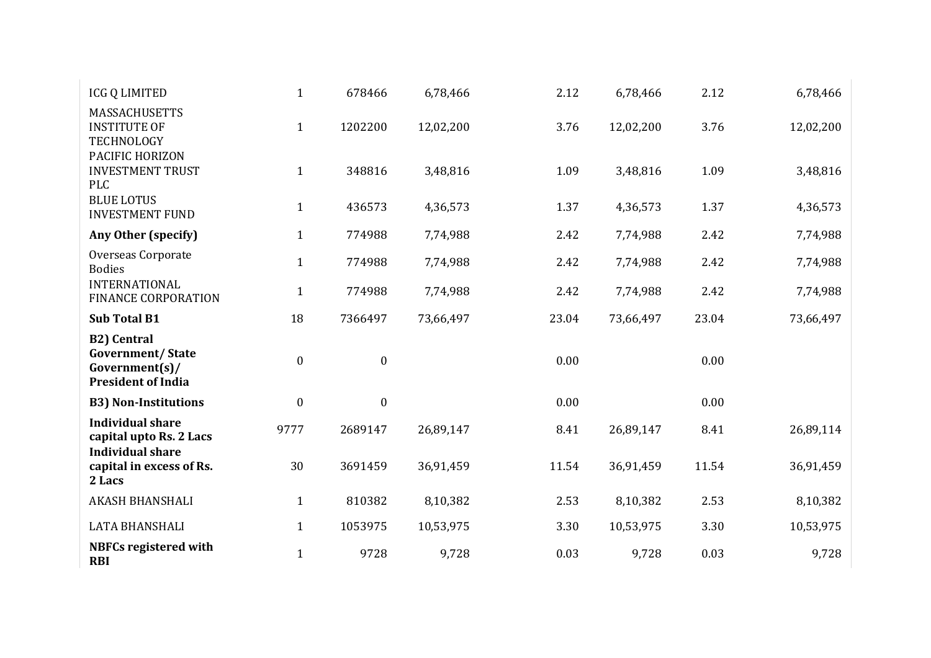| <b>ICG Q LIMITED</b>                                                                            | $\mathbf{1}$     | 678466           | 6,78,466  | 2.12  | 6,78,466  | 2.12  | 6,78,466  |
|-------------------------------------------------------------------------------------------------|------------------|------------------|-----------|-------|-----------|-------|-----------|
| <b>MASSACHUSETTS</b><br><b>INSTITUTE OF</b><br>TECHNOLOGY                                       | $\mathbf{1}$     | 1202200          | 12,02,200 | 3.76  | 12,02,200 | 3.76  | 12,02,200 |
| PACIFIC HORIZON<br><b>INVESTMENT TRUST</b><br>PLC                                               | $\mathbf{1}$     | 348816           | 3,48,816  | 1.09  | 3,48,816  | 1.09  | 3,48,816  |
| <b>BLUE LOTUS</b><br><b>INVESTMENT FUND</b>                                                     | $\mathbf{1}$     | 436573           | 4,36,573  | 1.37  | 4,36,573  | 1.37  | 4,36,573  |
| Any Other (specify)                                                                             | $\mathbf{1}$     | 774988           | 7,74,988  | 2.42  | 7,74,988  | 2.42  | 7,74,988  |
| Overseas Corporate<br><b>Bodies</b>                                                             | $\mathbf{1}$     | 774988           | 7,74,988  | 2.42  | 7,74,988  | 2.42  | 7,74,988  |
| <b>INTERNATIONAL</b><br><b>FINANCE CORPORATION</b>                                              | $\mathbf{1}$     | 774988           | 7,74,988  | 2.42  | 7,74,988  | 2.42  | 7,74,988  |
| <b>Sub Total B1</b>                                                                             | 18               | 7366497          | 73,66,497 | 23.04 | 73,66,497 | 23.04 | 73,66,497 |
| <b>B2)</b> Central<br><b>Government/State</b><br>$Government(s)$ /<br><b>President of India</b> | $\boldsymbol{0}$ | $\boldsymbol{0}$ |           | 0.00  |           | 0.00  |           |
| <b>B3) Non-Institutions</b>                                                                     | $\boldsymbol{0}$ |                  |           |       |           |       |           |
| <b>Individual share</b>                                                                         |                  | $\boldsymbol{0}$ |           | 0.00  |           | 0.00  |           |
| capital upto Rs. 2 Lacs                                                                         | 9777             | 2689147          | 26,89,147 | 8.41  | 26,89,147 | 8.41  | 26,89,114 |
| <b>Individual share</b><br>capital in excess of Rs.<br>2 Lacs                                   | 30               | 3691459          | 36,91,459 | 11.54 | 36,91,459 | 11.54 | 36,91,459 |
| <b>AKASH BHANSHALI</b>                                                                          | $\mathbf{1}$     | 810382           | 8,10,382  | 2.53  | 8,10,382  | 2.53  | 8,10,382  |
| LATA BHANSHALI                                                                                  | $\mathbf{1}$     | 1053975          | 10,53,975 | 3.30  | 10,53,975 | 3.30  | 10,53,975 |